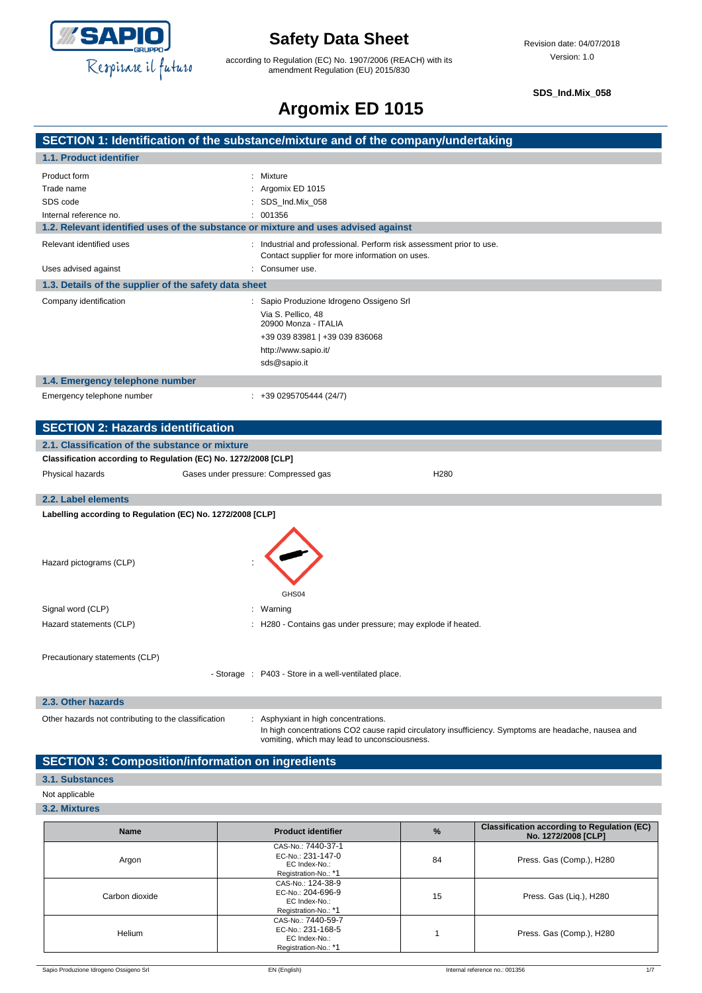

according to Regulation (EC) No. 1907/2006 (REACH) with its amendment Regulation (EU) 2015/830

**SDS\_Ind.Mix\_058**

# **Argomix ED 1015**

|                                                                                    | SECTION 1: Identification of the substance/mixture and of the company/undertaking                                                                   |  |  |
|------------------------------------------------------------------------------------|-----------------------------------------------------------------------------------------------------------------------------------------------------|--|--|
| 1.1. Product identifier                                                            |                                                                                                                                                     |  |  |
| Product form                                                                       | Mixture                                                                                                                                             |  |  |
| Trade name                                                                         | : Argomix ED 1015                                                                                                                                   |  |  |
| SDS code                                                                           | : SDS_Ind.Mix_058                                                                                                                                   |  |  |
| Internal reference no.                                                             | 001356                                                                                                                                              |  |  |
| 1.2. Relevant identified uses of the substance or mixture and uses advised against |                                                                                                                                                     |  |  |
| Relevant identified uses                                                           | : Industrial and professional. Perform risk assessment prior to use.<br>Contact supplier for more information on uses.                              |  |  |
| Uses advised against                                                               | : Consumer use.                                                                                                                                     |  |  |
| 1.3. Details of the supplier of the safety data sheet                              |                                                                                                                                                     |  |  |
| Company identification                                                             | : Sapio Produzione Idrogeno Ossigeno Srl                                                                                                            |  |  |
|                                                                                    | Via S. Pellico, 48<br>20900 Monza - ITALIA                                                                                                          |  |  |
|                                                                                    | +39 039 83981   +39 039 836068                                                                                                                      |  |  |
|                                                                                    | http://www.sapio.it/                                                                                                                                |  |  |
|                                                                                    | sds@sapio.it                                                                                                                                        |  |  |
| 1.4. Emergency telephone number                                                    |                                                                                                                                                     |  |  |
| Emergency telephone number                                                         | $: +390295705444(24/7)$                                                                                                                             |  |  |
|                                                                                    |                                                                                                                                                     |  |  |
| <b>SECTION 2: Hazards identification</b>                                           |                                                                                                                                                     |  |  |
| 2.1. Classification of the substance or mixture                                    |                                                                                                                                                     |  |  |
| Classification according to Regulation (EC) No. 1272/2008 [CLP]                    |                                                                                                                                                     |  |  |
| Physical hazards                                                                   | H <sub>280</sub><br>Gases under pressure: Compressed gas                                                                                            |  |  |
| 2.2. Label elements                                                                |                                                                                                                                                     |  |  |
| Labelling according to Regulation (EC) No. 1272/2008 [CLP]                         |                                                                                                                                                     |  |  |
|                                                                                    |                                                                                                                                                     |  |  |
| Hazard pictograms (CLP)                                                            | GHS04                                                                                                                                               |  |  |
| Signal word (CLP)                                                                  | : Warning                                                                                                                                           |  |  |
| Hazard statements (CLP)                                                            | : H280 - Contains gas under pressure; may explode if heated.                                                                                        |  |  |
|                                                                                    |                                                                                                                                                     |  |  |
| Precautionary statements (CLP)                                                     |                                                                                                                                                     |  |  |
|                                                                                    | - Storage : P403 - Store in a well-ventilated place.                                                                                                |  |  |
| 2.3. Other hazards                                                                 |                                                                                                                                                     |  |  |
| Other hazards not contributing to the classification                               | : Asphyxiant in high concentrations.                                                                                                                |  |  |
|                                                                                    | In high concentrations CO2 cause rapid circulatory insufficiency. Symptoms are headache, nausea and<br>vomiting, which may lead to unconsciousness. |  |  |

## **SECTION 3: Composition/information on ingredients**

### **3.1. Substances**

#### Not applicable

**3.2. Mixtures**

| <b>Name</b>    | <b>Product identifier</b>                                                        | $\%$ | <b>Classification according to Regulation (EC)</b><br>No. 1272/2008 [CLP] |
|----------------|----------------------------------------------------------------------------------|------|---------------------------------------------------------------------------|
| Argon          | CAS-No.: 7440-37-1<br>EC-No.: 231-147-0<br>EC Index-No.:<br>Registration-No.: *1 | 84   | Press. Gas (Comp.), H280                                                  |
| Carbon dioxide | CAS-No.: 124-38-9<br>EC-No.: 204-696-9<br>EC Index-No.:<br>Registration-No.: *1  | 15   | Press. Gas (Liq.), H280                                                   |
| Helium         | CAS-No.: 7440-59-7<br>EC-No.: 231-168-5<br>EC Index-No.:<br>Registration-No.: *1 |      | Press. Gas (Comp.), H280                                                  |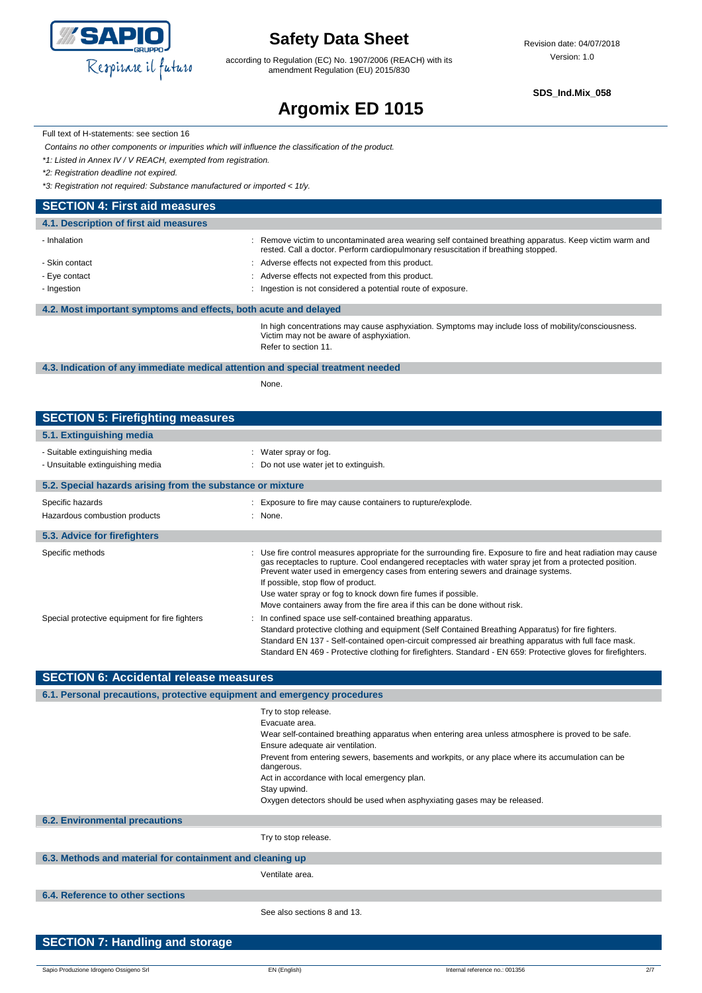

according to Regulation (EC) No. 1907/2006 (REACH) with its amendment Regulation (EU) 2015/830

**SDS\_Ind.Mix\_058**

# **Argomix ED 1015**

Full text of H-statements: see section 16

*Contains no other components or impurities which will influence the classification of the product.*

*\*1: Listed in Annex IV / V REACH, exempted from registration.*

*\*2: Registration deadline not expired.*

*\*3: Registration not required: Substance manufactured or imported < 1t/y.*

## **SECTION 4: First aid measures**

| 4.1. Description of first aid measures                           |                                                                                                                                                                                               |
|------------------------------------------------------------------|-----------------------------------------------------------------------------------------------------------------------------------------------------------------------------------------------|
| - Inhalation                                                     | : Remove victim to uncontaminated area wearing self contained breathing apparatus. Keep victim warm and<br>rested. Call a doctor. Perform cardiopulmonary resuscitation if breathing stopped. |
| - Skin contact                                                   | : Adverse effects not expected from this product.                                                                                                                                             |
| - Eye contact                                                    | : Adverse effects not expected from this product.                                                                                                                                             |
| - Ingestion                                                      | Ingestion is not considered a potential route of exposure.                                                                                                                                    |
| 4.2. Most important symptoms and effects, both acute and delayed |                                                                                                                                                                                               |
|                                                                  | In high concentrations may cause asphyxiation. Symptoms may include loss of mobility/consciousness.<br>Victim may not be aware of asphyxiation.<br>Refer to section 11.                       |

### **4.3. Indication of any immediate medical attention and special treatment needed**

None.

## **SECTION 5: Firefighting measures**

| 5.1. Extinguishing media                                           |                                                                                                                                                                                                                                                                                                                                                                                                                                                                                                   |
|--------------------------------------------------------------------|---------------------------------------------------------------------------------------------------------------------------------------------------------------------------------------------------------------------------------------------------------------------------------------------------------------------------------------------------------------------------------------------------------------------------------------------------------------------------------------------------|
| - Suitable extinguishing media<br>- Unsuitable extinguishing media | : Water spray or fog.<br>: Do not use water jet to extinguish.                                                                                                                                                                                                                                                                                                                                                                                                                                    |
| 5.2. Special hazards arising from the substance or mixture         |                                                                                                                                                                                                                                                                                                                                                                                                                                                                                                   |
| Specific hazards<br>Hazardous combustion products                  | : Exposure to fire may cause containers to rupture/explode.<br>: None.                                                                                                                                                                                                                                                                                                                                                                                                                            |
| 5.3. Advice for firefighters                                       |                                                                                                                                                                                                                                                                                                                                                                                                                                                                                                   |
| Specific methods                                                   | : Use fire control measures appropriate for the surrounding fire. Exposure to fire and heat radiation may cause<br>gas receptacles to rupture. Cool endangered receptacles with water spray jet from a protected position.<br>Prevent water used in emergency cases from entering sewers and drainage systems.<br>If possible, stop flow of product.<br>Use water spray or fog to knock down fire fumes if possible.<br>Move containers away from the fire area if this can be done without risk. |
| Special protective equipment for fire fighters                     | In confined space use self-contained breathing apparatus.<br>Standard protective clothing and equipment (Self Contained Breathing Apparatus) for fire fighters.<br>Standard EN 137 - Self-contained open-circuit compressed air breathing apparatus with full face mask.<br>Standard EN 469 - Protective clothing for firefighters. Standard - EN 659: Protective gloves for firefighters.                                                                                                        |

| SECTION 6: Accidental release measures                                   |                                                                                                                                                                                                                                                                                                                                                                                                                                                |  |  |  |
|--------------------------------------------------------------------------|------------------------------------------------------------------------------------------------------------------------------------------------------------------------------------------------------------------------------------------------------------------------------------------------------------------------------------------------------------------------------------------------------------------------------------------------|--|--|--|
| 6.1. Personal precautions, protective equipment and emergency procedures |                                                                                                                                                                                                                                                                                                                                                                                                                                                |  |  |  |
|                                                                          | Try to stop release.<br>Evacuate area.<br>Wear self-contained breathing apparatus when entering area unless atmosphere is proved to be safe.<br>Ensure adequate air ventilation.<br>Prevent from entering sewers, basements and workpits, or any place where its accumulation can be<br>dangerous.<br>Act in accordance with local emergency plan.<br>Stay upwind.<br>Oxygen detectors should be used when asphyxiating gases may be released. |  |  |  |
| <b>6.2. Environmental precautions</b>                                    |                                                                                                                                                                                                                                                                                                                                                                                                                                                |  |  |  |
|                                                                          | Try to stop release.                                                                                                                                                                                                                                                                                                                                                                                                                           |  |  |  |
| 6.3. Methods and material for containment and cleaning up                |                                                                                                                                                                                                                                                                                                                                                                                                                                                |  |  |  |
|                                                                          | Ventilate area.                                                                                                                                                                                                                                                                                                                                                                                                                                |  |  |  |
| 6.4. Reference to other sections                                         |                                                                                                                                                                                                                                                                                                                                                                                                                                                |  |  |  |
|                                                                          | See also sections 8 and 13.                                                                                                                                                                                                                                                                                                                                                                                                                    |  |  |  |
| <b>SECTION 7: Handling and storage</b>                                   |                                                                                                                                                                                                                                                                                                                                                                                                                                                |  |  |  |

**SECTION 6: Accidental release measures**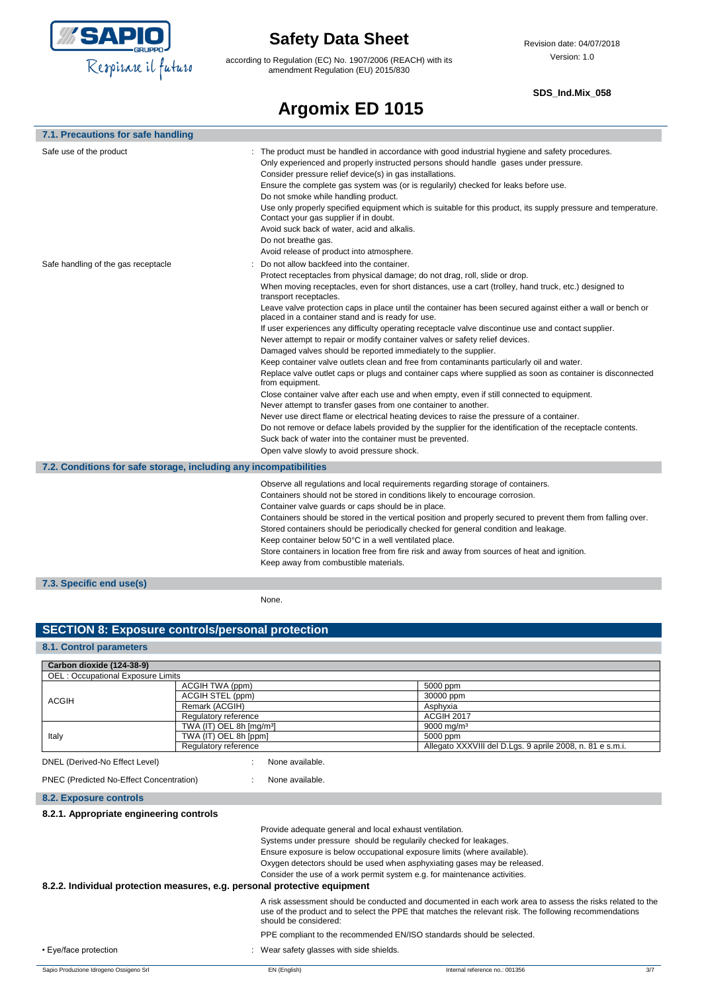

according to Regulation (EC) No. 1907/2006 (REACH) with its amendment Regulation (EU) 2015/830

#### **SDS\_Ind.Mix\_058**

# **Argomix ED 1015**

| 7.1. Precautions for safe handling                                |                                                                                                                                                                                                                                                                                                                                                                                                                                                                                                                                                                                                                                                                                                                                                                                                                                                                                                                                                                                                                                                                                                                                                                                                                                                                                                                                                                                                             |
|-------------------------------------------------------------------|-------------------------------------------------------------------------------------------------------------------------------------------------------------------------------------------------------------------------------------------------------------------------------------------------------------------------------------------------------------------------------------------------------------------------------------------------------------------------------------------------------------------------------------------------------------------------------------------------------------------------------------------------------------------------------------------------------------------------------------------------------------------------------------------------------------------------------------------------------------------------------------------------------------------------------------------------------------------------------------------------------------------------------------------------------------------------------------------------------------------------------------------------------------------------------------------------------------------------------------------------------------------------------------------------------------------------------------------------------------------------------------------------------------|
| Safe use of the product                                           | : The product must be handled in accordance with good industrial hygiene and safety procedures.<br>Only experienced and properly instructed persons should handle gases under pressure.<br>Consider pressure relief device(s) in gas installations.<br>Ensure the complete gas system was (or is regularily) checked for leaks before use.<br>Do not smoke while handling product.<br>Use only properly specified equipment which is suitable for this product, its supply pressure and temperature.<br>Contact your gas supplier if in doubt.<br>Avoid suck back of water, acid and alkalis.<br>Do not breathe gas.<br>Avoid release of product into atmosphere.                                                                                                                                                                                                                                                                                                                                                                                                                                                                                                                                                                                                                                                                                                                                           |
| Safe handling of the gas receptacle                               | Do not allow backfeed into the container.<br>Protect receptacles from physical damage; do not drag, roll, slide or drop.<br>When moving receptacles, even for short distances, use a cart (trolley, hand truck, etc.) designed to<br>transport receptacles.<br>Leave valve protection caps in place until the container has been secured against either a wall or bench or<br>placed in a container stand and is ready for use.<br>If user experiences any difficulty operating receptacle valve discontinue use and contact supplier.<br>Never attempt to repair or modify container valves or safety relief devices.<br>Damaged valves should be reported immediately to the supplier.<br>Keep container valve outlets clean and free from contaminants particularly oil and water.<br>Replace valve outlet caps or plugs and container caps where supplied as soon as container is disconnected<br>from equipment.<br>Close container valve after each use and when empty, even if still connected to equipment.<br>Never attempt to transfer gases from one container to another.<br>Never use direct flame or electrical heating devices to raise the pressure of a container.<br>Do not remove or deface labels provided by the supplier for the identification of the receptacle contents.<br>Suck back of water into the container must be prevented.<br>Open valve slowly to avoid pressure shock. |
| 7.2. Conditions for safe storage, including any incompatibilities |                                                                                                                                                                                                                                                                                                                                                                                                                                                                                                                                                                                                                                                                                                                                                                                                                                                                                                                                                                                                                                                                                                                                                                                                                                                                                                                                                                                                             |
|                                                                   | Observe all regulations and local requirements regarding storage of containers.<br>Containers should not be stored in conditions likely to encourage corrosion.<br>Container valve guards or caps should be in place.<br>Containers should be stored in the vertical position and properly secured to prevent them from falling over.<br>Stored containers should be periodically checked for general condition and leakage.<br>Keep container below 50°C in a well ventilated place.<br>Store containers in location free from fire risk and away from sources of heat and ignition.<br>Keep away from combustible materials.                                                                                                                                                                                                                                                                                                                                                                                                                                                                                                                                                                                                                                                                                                                                                                              |
| 7.3. Specific end use(s)                                          |                                                                                                                                                                                                                                                                                                                                                                                                                                                                                                                                                                                                                                                                                                                                                                                                                                                                                                                                                                                                                                                                                                                                                                                                                                                                                                                                                                                                             |
|                                                                   | None.                                                                                                                                                                                                                                                                                                                                                                                                                                                                                                                                                                                                                                                                                                                                                                                                                                                                                                                                                                                                                                                                                                                                                                                                                                                                                                                                                                                                       |

## **SECTION 8: Exposure controls/personal protection**

### **8.1. Control parameters**

I

| Carbon dioxide (124-38-9)                                                 |                                      |                                        |                                                                                                                                                                                                                                                                                                                                                                   |
|---------------------------------------------------------------------------|--------------------------------------|----------------------------------------|-------------------------------------------------------------------------------------------------------------------------------------------------------------------------------------------------------------------------------------------------------------------------------------------------------------------------------------------------------------------|
| <b>OEL: Occupational Exposure Limits</b>                                  |                                      |                                        |                                                                                                                                                                                                                                                                                                                                                                   |
|                                                                           | ACGIH TWA (ppm)                      |                                        | 5000 ppm                                                                                                                                                                                                                                                                                                                                                          |
| <b>ACGIH</b>                                                              | <b>ACGIH STEL (ppm)</b>              |                                        | 30000 ppm                                                                                                                                                                                                                                                                                                                                                         |
|                                                                           | Remark (ACGIH)                       |                                        | Asphyxia                                                                                                                                                                                                                                                                                                                                                          |
|                                                                           | Regulatory reference                 |                                        | <b>ACGIH 2017</b>                                                                                                                                                                                                                                                                                                                                                 |
|                                                                           | TWA (IT) OEL 8h [mg/m <sup>3</sup> ] |                                        | $9000 \text{ ma/m}^3$                                                                                                                                                                                                                                                                                                                                             |
| Italy                                                                     | TWA (IT) OEL 8h [ppm]                |                                        | 5000 ppm                                                                                                                                                                                                                                                                                                                                                          |
|                                                                           | Regulatory reference                 |                                        | Allegato XXXVIII del D.Lgs. 9 aprile 2008, n. 81 e s.m.i.                                                                                                                                                                                                                                                                                                         |
| DNEL (Derived-No Effect Level)                                            |                                      | None available.                        |                                                                                                                                                                                                                                                                                                                                                                   |
| PNEC (Predicted No-Effect Concentration)                                  |                                      | None available.                        |                                                                                                                                                                                                                                                                                                                                                                   |
| 8.2. Exposure controls                                                    |                                      |                                        |                                                                                                                                                                                                                                                                                                                                                                   |
| 8.2.1. Appropriate engineering controls                                   |                                      |                                        |                                                                                                                                                                                                                                                                                                                                                                   |
|                                                                           |                                      |                                        | Provide adequate general and local exhaust ventilation.<br>Systems under pressure should be regularily checked for leakages.<br>Ensure exposure is below occupational exposure limits (where available).<br>Oxygen detectors should be used when asphyxiating gases may be released.<br>Consider the use of a work permit system e.g. for maintenance activities. |
| 8.2.2. Individual protection measures, e.g. personal protective equipment |                                      |                                        |                                                                                                                                                                                                                                                                                                                                                                   |
|                                                                           |                                      | should be considered:                  | A risk assessment should be conducted and documented in each work area to assess the risks related to the<br>use of the product and to select the PPE that matches the relevant risk. The following recommendations                                                                                                                                               |
|                                                                           |                                      |                                        | PPE compliant to the recommended EN/ISO standards should be selected.                                                                                                                                                                                                                                                                                             |
| • Eye/face protection                                                     |                                      | Wear safety glasses with side shields. |                                                                                                                                                                                                                                                                                                                                                                   |
| Sapio Produzione Idrogeno Ossigeno Srl                                    |                                      | EN (English)                           | 3/7<br>Internal reference no.: 001356                                                                                                                                                                                                                                                                                                                             |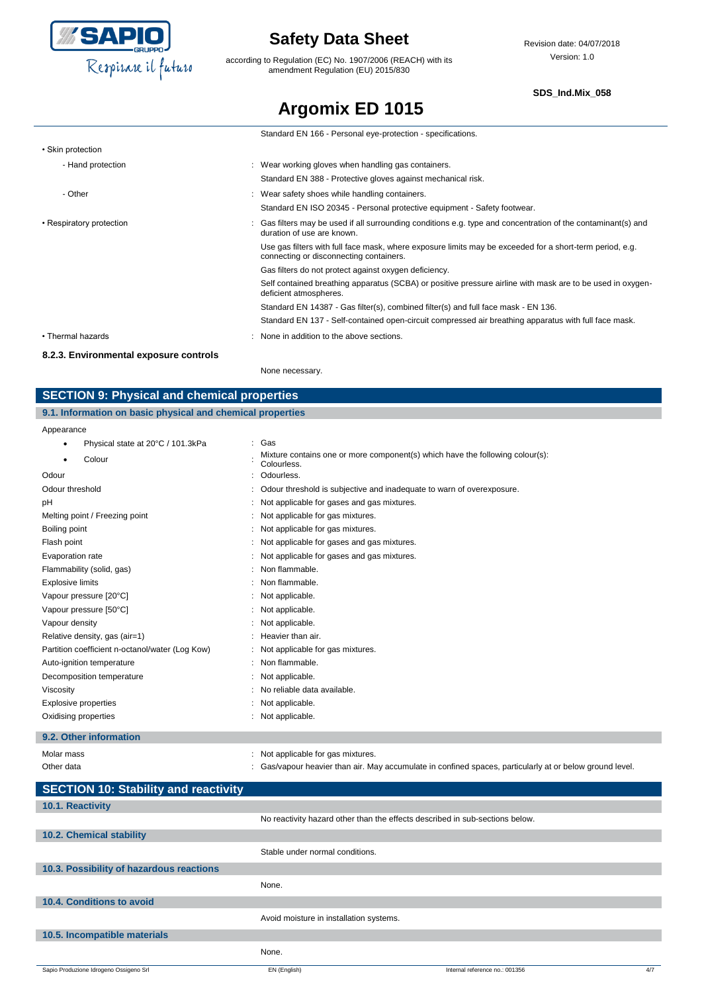

according to Regulation (EC) No. 1907/2006 (REACH) with its amendment Regulation (EU) 2015/830

#### **SDS\_Ind.Mix\_058**

# **Argomix ED 1015**

|                          | Standard EN 166 - Personal eye-protection - specifications.                                                                                         |
|--------------------------|-----------------------------------------------------------------------------------------------------------------------------------------------------|
| • Skin protection        |                                                                                                                                                     |
| - Hand protection        | : Wear working gloves when handling gas containers.                                                                                                 |
|                          | Standard EN 388 - Protective gloves against mechanical risk.                                                                                        |
| - Other                  | : Wear safety shoes while handling containers.                                                                                                      |
|                          | Standard EN ISO 20345 - Personal protective equipment - Safety footwear.                                                                            |
| • Respiratory protection | : Gas filters may be used if all surrounding conditions e.g. type and concentration of the contaminant(s) and<br>duration of use are known.         |
|                          | Use gas filters with full face mask, where exposure limits may be exceeded for a short-term period, e.g.<br>connecting or disconnecting containers. |
|                          | Gas filters do not protect against oxygen deficiency.                                                                                               |
|                          | Self contained breathing apparatus (SCBA) or positive pressure airline with mask are to be used in oxygen-<br>deficient atmospheres.                |
|                          | Standard EN 14387 - Gas filter(s), combined filter(s) and full face mask - EN 136.                                                                  |
|                          | Standard EN 137 - Self-contained open-circuit compressed air breathing apparatus with full face mask.                                               |
| • Thermal hazards        | : None in addition to the above sections.                                                                                                           |

#### **8.2.3. Environmental exposure controls**

None necessary.

## **SECTION 9: Physical and chemical properties**

### **9.1. Information on basic physical and chemical properties**

Appearance

| , ippodranioc                                   |                                                                                              |
|-------------------------------------------------|----------------------------------------------------------------------------------------------|
| Physical state at 20°C / 101.3kPa<br>٠          | : Gas                                                                                        |
| Colour<br>٠                                     | Mixture contains one or more component(s) which have the following colour(s):<br>Colourless. |
| Odour                                           | Odourless.                                                                                   |
| Odour threshold                                 | Odour threshold is subjective and inadequate to warn of overexposure.                        |
| рH                                              | Not applicable for gases and gas mixtures.                                                   |
| Melting point / Freezing point                  | Not applicable for gas mixtures.                                                             |
| Boiling point                                   | Not applicable for gas mixtures.                                                             |
| Flash point                                     | Not applicable for gases and gas mixtures.                                                   |
| Evaporation rate                                | Not applicable for gases and gas mixtures.                                                   |
| Flammability (solid, gas)                       | Non flammable.                                                                               |
| <b>Explosive limits</b>                         | Non flammable.                                                                               |
| Vapour pressure [20°C]                          | Not applicable.                                                                              |
| Vapour pressure [50°C]                          | Not applicable.                                                                              |
| Vapour density                                  | Not applicable.                                                                              |
| Relative density, gas (air=1)                   | Heavier than air.                                                                            |
| Partition coefficient n-octanol/water (Log Kow) | Not applicable for gas mixtures.                                                             |
| Auto-ignition temperature                       | Non flammable.                                                                               |
| Decomposition temperature                       | Not applicable.                                                                              |
| Viscosity                                       | No reliable data available.                                                                  |
| Explosive properties                            | Not applicable.                                                                              |
| Oxidising properties                            | Not applicable.                                                                              |
|                                                 |                                                                                              |

### **9.2. Other information**

| Molar mass | Not applicable for gas mixtures.                                                                       |
|------------|--------------------------------------------------------------------------------------------------------|
| Other data | Gas/vapour heavier than air. May accumulate in confined spaces, particularly at or below ground level. |

| <b>SECTION 10: Stability and reactivity</b> |                                         |                                                                              |     |
|---------------------------------------------|-----------------------------------------|------------------------------------------------------------------------------|-----|
| 10.1. Reactivity                            |                                         |                                                                              |     |
|                                             |                                         | No reactivity hazard other than the effects described in sub-sections below. |     |
| 10.2. Chemical stability                    |                                         |                                                                              |     |
|                                             | Stable under normal conditions.         |                                                                              |     |
| 10.3. Possibility of hazardous reactions    |                                         |                                                                              |     |
|                                             | None.                                   |                                                                              |     |
| 10.4. Conditions to avoid                   |                                         |                                                                              |     |
|                                             | Avoid moisture in installation systems. |                                                                              |     |
| 10.5. Incompatible materials                |                                         |                                                                              |     |
|                                             | None.                                   |                                                                              |     |
| Sapio Produzione Idrogeno Ossigeno Srl      | EN (English)                            | Internal reference no.: 001356                                               | 4/7 |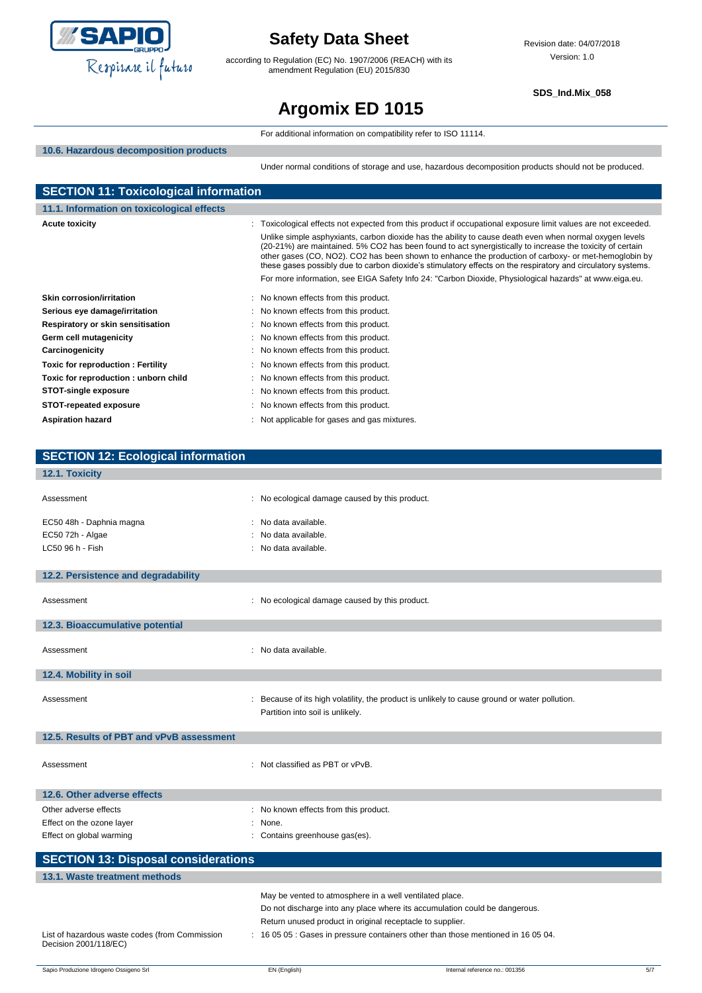

according to Regulation (EC) No. 1907/2006 (REACH) with its amendment Regulation (EU) 2015/830

**SDS\_Ind.Mix\_058**

# **Argomix ED 1015**

|                                              | For additional information on compatibility refer to ISO 11114.                                                                                                                                                                                                                                                                                                                                                                                                                                                                                        |  |  |
|----------------------------------------------|--------------------------------------------------------------------------------------------------------------------------------------------------------------------------------------------------------------------------------------------------------------------------------------------------------------------------------------------------------------------------------------------------------------------------------------------------------------------------------------------------------------------------------------------------------|--|--|
| 10.6. Hazardous decomposition products       |                                                                                                                                                                                                                                                                                                                                                                                                                                                                                                                                                        |  |  |
|                                              | Under normal conditions of storage and use, hazardous decomposition products should not be produced.                                                                                                                                                                                                                                                                                                                                                                                                                                                   |  |  |
|                                              |                                                                                                                                                                                                                                                                                                                                                                                                                                                                                                                                                        |  |  |
| <b>SECTION 11: Toxicological information</b> |                                                                                                                                                                                                                                                                                                                                                                                                                                                                                                                                                        |  |  |
| 11.1. Information on toxicological effects   |                                                                                                                                                                                                                                                                                                                                                                                                                                                                                                                                                        |  |  |
| <b>Acute toxicity</b>                        | Toxicological effects not expected from this product if occupational exposure limit values are not exceeded.                                                                                                                                                                                                                                                                                                                                                                                                                                           |  |  |
|                                              | Unlike simple asphyxiants, carbon dioxide has the ability to cause death even when normal oxygen levels<br>(20-21%) are maintained. 5% CO2 has been found to act synergistically to increase the toxicity of certain<br>other gases (CO, NO2). CO2 has been shown to enhance the production of carboxy- or met-hemoglobin by<br>these gases possibly due to carbon dioxide's stimulatory effects on the respiratory and circulatory systems.<br>For more information, see EIGA Safety Info 24: "Carbon Dioxide, Physiological hazards" at www.eiga.eu. |  |  |
| <b>Skin corrosion/irritation</b>             | No known effects from this product.                                                                                                                                                                                                                                                                                                                                                                                                                                                                                                                    |  |  |
| Serious eye damage/irritation                | No known effects from this product.                                                                                                                                                                                                                                                                                                                                                                                                                                                                                                                    |  |  |
| Respiratory or skin sensitisation            | No known effects from this product.                                                                                                                                                                                                                                                                                                                                                                                                                                                                                                                    |  |  |
| Germ cell mutagenicity                       | No known effects from this product.                                                                                                                                                                                                                                                                                                                                                                                                                                                                                                                    |  |  |
| Carcinogenicity                              | No known effects from this product.                                                                                                                                                                                                                                                                                                                                                                                                                                                                                                                    |  |  |
| <b>Toxic for reproduction: Fertility</b>     | No known effects from this product.                                                                                                                                                                                                                                                                                                                                                                                                                                                                                                                    |  |  |
| Toxic for reproduction: unborn child         | No known effects from this product.                                                                                                                                                                                                                                                                                                                                                                                                                                                                                                                    |  |  |
| <b>STOT-single exposure</b>                  | No known effects from this product.                                                                                                                                                                                                                                                                                                                                                                                                                                                                                                                    |  |  |
| <b>STOT-repeated exposure</b>                | No known effects from this product.                                                                                                                                                                                                                                                                                                                                                                                                                                                                                                                    |  |  |
| <b>Aspiration hazard</b>                     | Not applicable for gases and gas mixtures.                                                                                                                                                                                                                                                                                                                                                                                                                                                                                                             |  |  |
|                                              |                                                                                                                                                                                                                                                                                                                                                                                                                                                                                                                                                        |  |  |
|                                              |                                                                                                                                                                                                                                                                                                                                                                                                                                                                                                                                                        |  |  |
| <b>SECTION 12: Ecological information</b>    |                                                                                                                                                                                                                                                                                                                                                                                                                                                                                                                                                        |  |  |
| 12.1. Toxicity                               |                                                                                                                                                                                                                                                                                                                                                                                                                                                                                                                                                        |  |  |
| Assessment<br>÷                              | No ecological damage caused by this product.                                                                                                                                                                                                                                                                                                                                                                                                                                                                                                           |  |  |
| EC50 48h - Daphnia magna                     | No data available.                                                                                                                                                                                                                                                                                                                                                                                                                                                                                                                                     |  |  |
| EC50 72h - Algae                             | No data available.                                                                                                                                                                                                                                                                                                                                                                                                                                                                                                                                     |  |  |
| LC50 96 h - Fish                             | No data available.                                                                                                                                                                                                                                                                                                                                                                                                                                                                                                                                     |  |  |
|                                              |                                                                                                                                                                                                                                                                                                                                                                                                                                                                                                                                                        |  |  |
| 12.2. Persistence and degradability          |                                                                                                                                                                                                                                                                                                                                                                                                                                                                                                                                                        |  |  |
| Assessment                                   | : No ecological damage caused by this product.                                                                                                                                                                                                                                                                                                                                                                                                                                                                                                         |  |  |
| 12.3. Bioaccumulative potential              |                                                                                                                                                                                                                                                                                                                                                                                                                                                                                                                                                        |  |  |
|                                              |                                                                                                                                                                                                                                                                                                                                                                                                                                                                                                                                                        |  |  |
| Assessment                                   | : No data available.                                                                                                                                                                                                                                                                                                                                                                                                                                                                                                                                   |  |  |
| 12.4. Mobility in soil                       |                                                                                                                                                                                                                                                                                                                                                                                                                                                                                                                                                        |  |  |
|                                              |                                                                                                                                                                                                                                                                                                                                                                                                                                                                                                                                                        |  |  |
| Assessment                                   | Because of its high volatility, the product is unlikely to cause ground or water pollution.                                                                                                                                                                                                                                                                                                                                                                                                                                                            |  |  |
|                                              | Partition into soil is unlikely.                                                                                                                                                                                                                                                                                                                                                                                                                                                                                                                       |  |  |
| 12.5. Results of PBT and vPvB assessment     |                                                                                                                                                                                                                                                                                                                                                                                                                                                                                                                                                        |  |  |
|                                              |                                                                                                                                                                                                                                                                                                                                                                                                                                                                                                                                                        |  |  |
| Assessment                                   | : Not classified as PBT or vPvB.                                                                                                                                                                                                                                                                                                                                                                                                                                                                                                                       |  |  |
|                                              |                                                                                                                                                                                                                                                                                                                                                                                                                                                                                                                                                        |  |  |
| 12.6. Other adverse effects                  |                                                                                                                                                                                                                                                                                                                                                                                                                                                                                                                                                        |  |  |
| Other adverse effects                        | No known effects from this product.                                                                                                                                                                                                                                                                                                                                                                                                                                                                                                                    |  |  |
| Effect on the ozone layer                    | None.                                                                                                                                                                                                                                                                                                                                                                                                                                                                                                                                                  |  |  |
| Effect on global warming                     | Contains greenhouse gas(es).                                                                                                                                                                                                                                                                                                                                                                                                                                                                                                                           |  |  |
|                                              |                                                                                                                                                                                                                                                                                                                                                                                                                                                                                                                                                        |  |  |
| <b>SECTION 13: Disposal considerations</b>   |                                                                                                                                                                                                                                                                                                                                                                                                                                                                                                                                                        |  |  |
| 13.1. Waste treatment methods                |                                                                                                                                                                                                                                                                                                                                                                                                                                                                                                                                                        |  |  |
|                                              | May be vented to atmosphere in a well ventilated place.                                                                                                                                                                                                                                                                                                                                                                                                                                                                                                |  |  |

List of hazardous waste codes (from Commission

Decision 2001/118/EC)

Do not discharge into any place where its accumulation could be dangerous.

: 16 05 05 : Gases in pressure containers other than those mentioned in 16 05 04.

Return unused product in original receptacle to supplier.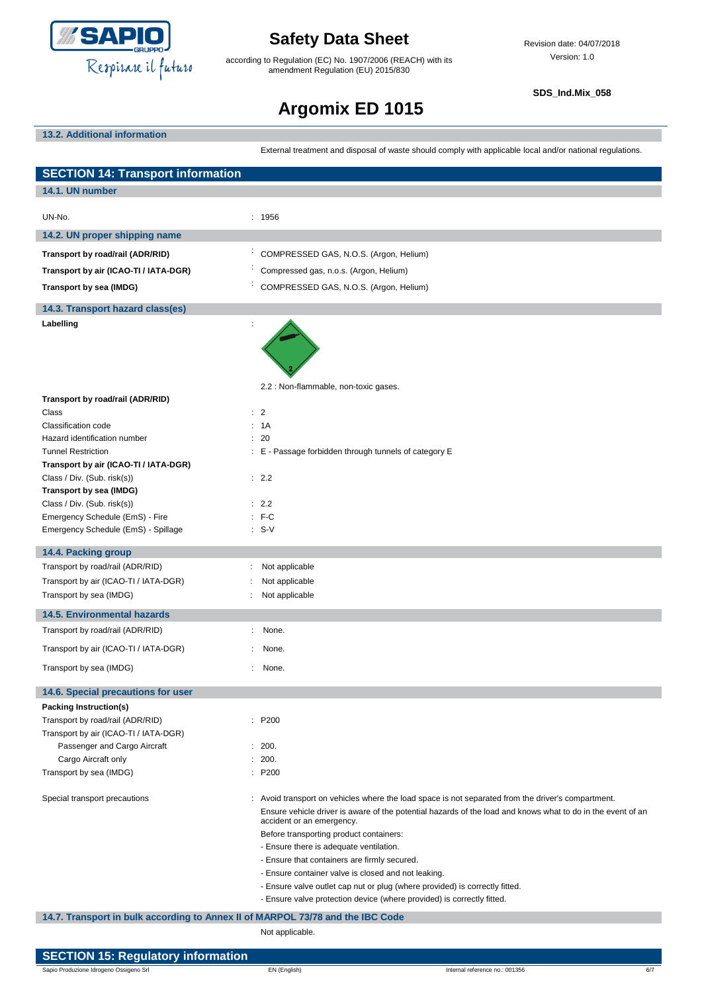

according to Regulation (EC) No. 1907/2006 (REACH) with its amendment Regulation (EU) 2015/830

**SDS\_Ind.Mix\_058**

# **Argomix ED 1015**

### **13.2. Additional information**

External treatment and disposal of waste should comply with applicable local and/or national regulations.

| <b>SECTION 14: Transport information</b>                                       |                                                                                                                                                                                                                                                                                                                                                                                                                                                                                                                                                                                                      |
|--------------------------------------------------------------------------------|------------------------------------------------------------------------------------------------------------------------------------------------------------------------------------------------------------------------------------------------------------------------------------------------------------------------------------------------------------------------------------------------------------------------------------------------------------------------------------------------------------------------------------------------------------------------------------------------------|
| 14.1. UN number                                                                |                                                                                                                                                                                                                                                                                                                                                                                                                                                                                                                                                                                                      |
| UN-No.                                                                         | : 1956                                                                                                                                                                                                                                                                                                                                                                                                                                                                                                                                                                                               |
| 14.2. UN proper shipping name                                                  |                                                                                                                                                                                                                                                                                                                                                                                                                                                                                                                                                                                                      |
| Transport by road/rail (ADR/RID)                                               | COMPRESSED GAS, N.O.S. (Argon, Helium)                                                                                                                                                                                                                                                                                                                                                                                                                                                                                                                                                               |
| Transport by air (ICAO-TI / IATA-DGR)                                          | Compressed gas, n.o.s. (Argon, Helium)                                                                                                                                                                                                                                                                                                                                                                                                                                                                                                                                                               |
| Transport by sea (IMDG)                                                        | COMPRESSED GAS, N.O.S. (Argon, Helium)                                                                                                                                                                                                                                                                                                                                                                                                                                                                                                                                                               |
|                                                                                |                                                                                                                                                                                                                                                                                                                                                                                                                                                                                                                                                                                                      |
| 14.3. Transport hazard class(es)                                               |                                                                                                                                                                                                                                                                                                                                                                                                                                                                                                                                                                                                      |
| Labelling                                                                      |                                                                                                                                                                                                                                                                                                                                                                                                                                                                                                                                                                                                      |
|                                                                                | 2.2 : Non-flammable, non-toxic gases.                                                                                                                                                                                                                                                                                                                                                                                                                                                                                                                                                                |
| Transport by road/rail (ADR/RID)<br>Class                                      | : 2                                                                                                                                                                                                                                                                                                                                                                                                                                                                                                                                                                                                  |
| Classification code                                                            | : 1A                                                                                                                                                                                                                                                                                                                                                                                                                                                                                                                                                                                                 |
| Hazard identification number                                                   | : 20                                                                                                                                                                                                                                                                                                                                                                                                                                                                                                                                                                                                 |
| <b>Tunnel Restriction</b>                                                      | : E - Passage forbidden through tunnels of category E                                                                                                                                                                                                                                                                                                                                                                                                                                                                                                                                                |
| Transport by air (ICAO-TI / IATA-DGR)<br>Class / Div. (Sub. risk(s))           | : 2.2                                                                                                                                                                                                                                                                                                                                                                                                                                                                                                                                                                                                |
| Transport by sea (IMDG)                                                        |                                                                                                                                                                                                                                                                                                                                                                                                                                                                                                                                                                                                      |
| Class / Div. (Sub. risk(s))                                                    | : 2.2                                                                                                                                                                                                                                                                                                                                                                                                                                                                                                                                                                                                |
| Emergency Schedule (EmS) - Fire                                                | $: F-C$                                                                                                                                                                                                                                                                                                                                                                                                                                                                                                                                                                                              |
| Emergency Schedule (EmS) - Spillage                                            | $: S-V$                                                                                                                                                                                                                                                                                                                                                                                                                                                                                                                                                                                              |
| 14.4. Packing group                                                            |                                                                                                                                                                                                                                                                                                                                                                                                                                                                                                                                                                                                      |
| Transport by road/rail (ADR/RID)                                               | Not applicable                                                                                                                                                                                                                                                                                                                                                                                                                                                                                                                                                                                       |
| Transport by air (ICAO-TI / IATA-DGR)                                          | Not applicable                                                                                                                                                                                                                                                                                                                                                                                                                                                                                                                                                                                       |
| Transport by sea (IMDG)                                                        | Not applicable                                                                                                                                                                                                                                                                                                                                                                                                                                                                                                                                                                                       |
| <b>14.5. Environmental hazards</b>                                             |                                                                                                                                                                                                                                                                                                                                                                                                                                                                                                                                                                                                      |
| Transport by road/rail (ADR/RID)                                               | None.                                                                                                                                                                                                                                                                                                                                                                                                                                                                                                                                                                                                |
| Transport by air (ICAO-TI / IATA-DGR)                                          | None.                                                                                                                                                                                                                                                                                                                                                                                                                                                                                                                                                                                                |
| Transport by sea (IMDG)                                                        | ÷<br>None.                                                                                                                                                                                                                                                                                                                                                                                                                                                                                                                                                                                           |
| 14.6. Special precautions for user                                             |                                                                                                                                                                                                                                                                                                                                                                                                                                                                                                                                                                                                      |
| Packing Instruction(s)                                                         |                                                                                                                                                                                                                                                                                                                                                                                                                                                                                                                                                                                                      |
| Transport by road/rail (ADR/RID)                                               | : P200                                                                                                                                                                                                                                                                                                                                                                                                                                                                                                                                                                                               |
| Transport by air (ICAO-TI / IATA-DGR)<br>Passenger and Cargo Aircraft          | : 200.                                                                                                                                                                                                                                                                                                                                                                                                                                                                                                                                                                                               |
| Cargo Aircraft only                                                            | : 200.                                                                                                                                                                                                                                                                                                                                                                                                                                                                                                                                                                                               |
| Transport by sea (IMDG)                                                        | P200                                                                                                                                                                                                                                                                                                                                                                                                                                                                                                                                                                                                 |
| Special transport precautions                                                  | : Avoid transport on vehicles where the load space is not separated from the driver's compartment.<br>Ensure vehicle driver is aware of the potential hazards of the load and knows what to do in the event of an<br>accident or an emergency.<br>Before transporting product containers:<br>- Ensure there is adequate ventilation.<br>- Ensure that containers are firmly secured.<br>- Ensure container valve is closed and not leaking.<br>- Ensure valve outlet cap nut or plug (where provided) is correctly fitted.<br>- Ensure valve protection device (where provided) is correctly fitted. |
| 14.7. Transport in bulk according to Annex II of MARPOL 73/78 and the IBC Code |                                                                                                                                                                                                                                                                                                                                                                                                                                                                                                                                                                                                      |
|                                                                                | Not applicable.                                                                                                                                                                                                                                                                                                                                                                                                                                                                                                                                                                                      |